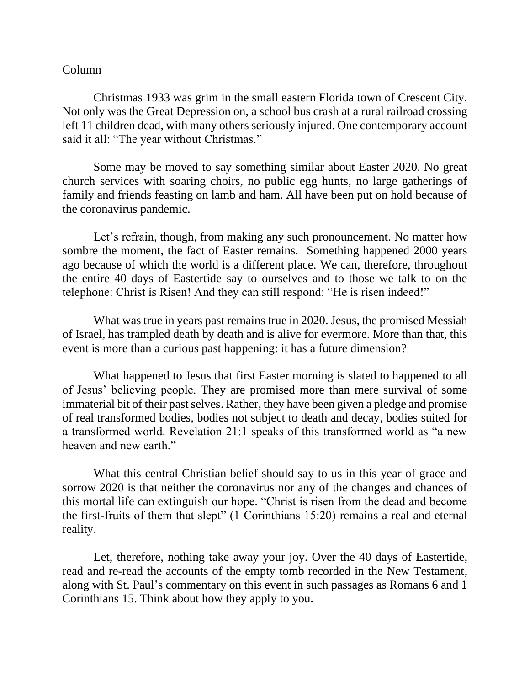## Column

Christmas 1933 was grim in the small eastern Florida town of Crescent City. Not only was the Great Depression on, a school bus crash at a rural railroad crossing left 11 children dead, with many others seriously injured. One contemporary account said it all: "The year without Christmas."

Some may be moved to say something similar about Easter 2020. No great church services with soaring choirs, no public egg hunts, no large gatherings of family and friends feasting on lamb and ham. All have been put on hold because of the coronavirus pandemic.

Let's refrain, though, from making any such pronouncement. No matter how sombre the moment, the fact of Easter remains. Something happened 2000 years ago because of which the world is a different place. We can, therefore, throughout the entire 40 days of Eastertide say to ourselves and to those we talk to on the telephone: Christ is Risen! And they can still respond: "He is risen indeed!"

What was true in years past remains true in 2020. Jesus, the promised Messiah of Israel, has trampled death by death and is alive for evermore. More than that, this event is more than a curious past happening: it has a future dimension?

What happened to Jesus that first Easter morning is slated to happened to all of Jesus' believing people. They are promised more than mere survival of some immaterial bit of their past selves. Rather, they have been given a pledge and promise of real transformed bodies, bodies not subject to death and decay, bodies suited for a transformed world. Revelation 21:1 speaks of this transformed world as "a new heaven and new earth."

What this central Christian belief should say to us in this year of grace and sorrow 2020 is that neither the coronavirus nor any of the changes and chances of this mortal life can extinguish our hope. "Christ is risen from the dead and become the first-fruits of them that slept" (1 Corinthians 15:20) remains a real and eternal reality.

Let, therefore, nothing take away your joy. Over the 40 days of Eastertide, read and re-read the accounts of the empty tomb recorded in the New Testament, along with St. Paul's commentary on this event in such passages as Romans 6 and 1 Corinthians 15. Think about how they apply to you.